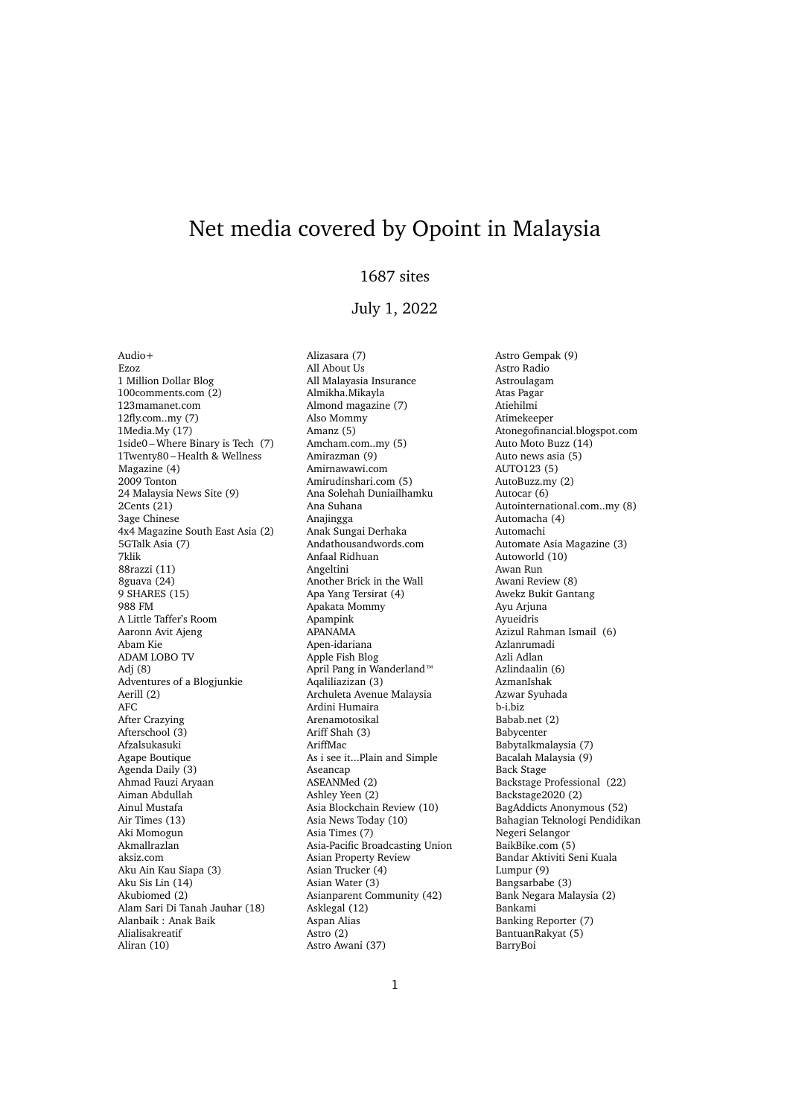## Net media covered by Opoint in Malaysia

## 1687 sites

## July 1, 2022

 $Andio+$ Ezoz 1 Million Dollar Blog 100comments.com (2) 123mamanet.com 12fly.com..my (7) 1Media.My (17) 1side0 – Where Binary is Tech (7) 1Twenty80 – Health & Wellness Magazine (4) 2009 Tonton 24 Malaysia News Site (9) 2Cents (21) 3age Chinese 4x4 Magazine South East Asia (2) 5GTalk Asia (7) 7klik 88razzi (11) 8guava (24) 9 SHARES (15) 988 FM A Little Taffer's Room Aaronn Avit Ajeng Abam Kie ADAM LOBO TV Adj (8) Adventures of a Blogjunkie Aerill (2) AFC After Crazying Afterschool (3) Afzalsukasuki Agape Boutique Agenda Daily (3) Ahmad Fauzi Aryaan Aiman Abdullah Ainul Mustafa Air Times (13) Aki Momogun Akmallrazlan aksiz.com Aku Ain Kau Siapa (3) Aku Sis Lin (14) Akubiomed (2) Alam Sari Di Tanah Jauhar (18) Alanbaik : Anak Baik Alialisakreatif Aliran (10)

Alizasara (7) All About Us All Malayasia Insurance Almikha.Mikayla Almond magazine (7) Also Mommy Amanz (5) Amcham.com..my (5) Amirazman (9) Amirnawawi.com Amirudinshari.com (5) Ana Solehah Duniailhamku Ana Suhana Anajingga Anak Sungai Derhaka Andathousandwords.com Anfaal Ridhuan Angeltini Another Brick in the Wall Apa Yang Tersirat (4) Apakata Mommy Apampink APANAMA Apen-idariana Apple Fish Blog April Pang in Wanderland™ Aqaliliazizan (3) Archuleta Avenue Malaysia Ardini Humaira Arenamotosikal Ariff Shah (3) AriffMac As i see it...Plain and Simple Aseancap ASEANMed (2) Ashley Yeen (2) Asia Blockchain Review (10) Asia News Today (10) Asia Times (7) Asia-Pacific Broadcasting Union Asian Property Review Asian Trucker (4) Asian Water (3) Asianparent Community (42) Asklegal (12) Aspan Alias Astro (2) Astro Awani (37)

Astro Gempak (9) Astro Radio Astroulagam Atas Pagar Atiehilmi Atimekeeper Atonegofinancial.blogspot.com Auto Moto Buzz (14) Auto news asia (5) AUTO123 (5) AutoBuzz.my (2) Autocar (6) Autointernational.com..my (8) Automacha (4) Automachi Automate Asia Magazine (3) Autoworld (10) Awan Run Awani Review (8) Awekz Bukit Gantang Ayu Arjuna Ayueidris Azizul Rahman Ismail (6) Azlanrumadi Azli Adlan Azlindaalin (6) AzmanIshak Azwar Syuhada b-i.biz Babab.net (2) Babycenter Babytalkmalaysia (7) Bacalah Malaysia (9) Back Stage Backstage Professional (22) Backstage2020 (2) BagAddicts Anonymous (52) Bahagian Teknologi Pendidikan Negeri Selangor BaikBike.com (5) Bandar Aktiviti Seni Kuala Lumpur (9) Bangsarbabe (3) Bank Negara Malaysia (2) Bankami Banking Reporter (7) BantuanRakyat (5) BarryBoi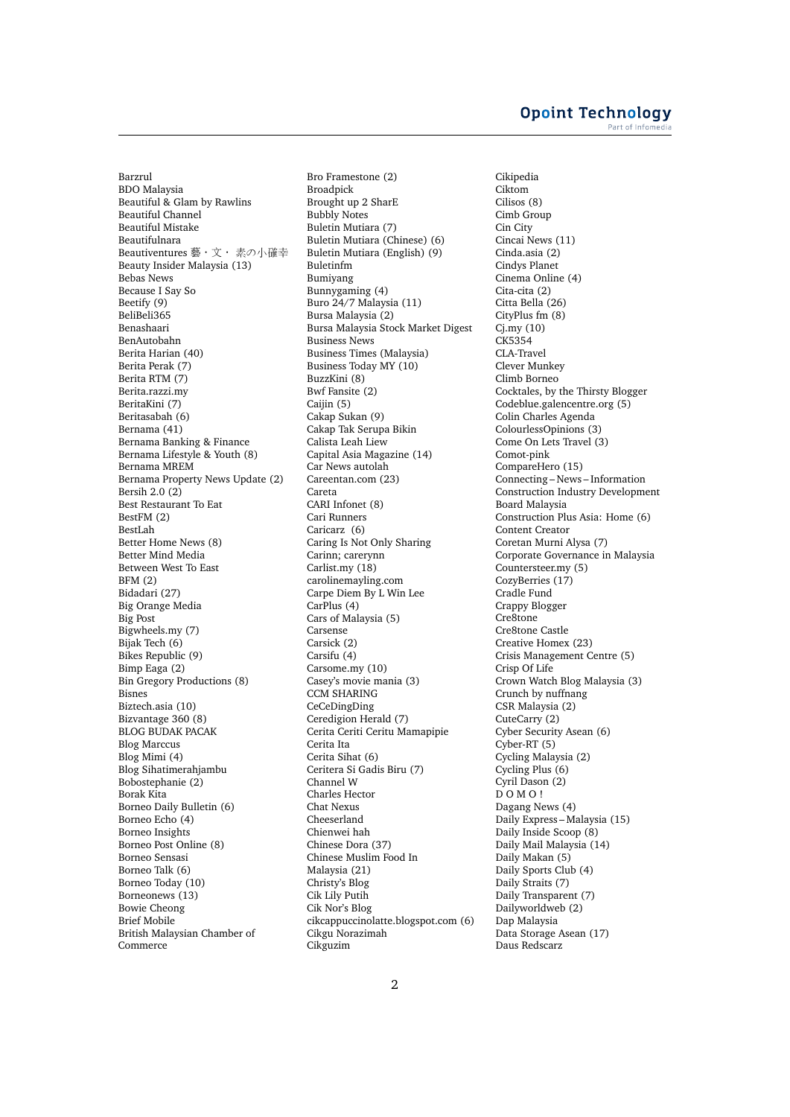Barzrul BDO Malaysia Beautiful & Glam by Rawlins Beautiful Channel Beautiful Mistake Beautifulnara Beautiventures 藝•文• 素の小確幸 Beauty Insider Malaysia (13) Bebas News Because I Say So Beetify (9) BeliBeli365 Benashaari BenAutobahn Berita Harian (40) Berita Perak (7) Berita RTM (7) Berita.razzi.my BeritaKini (7) Beritasabah (6) Bernama (41) Bernama Banking & Finance Bernama Lifestyle & Youth (8) Bernama MREM Bernama Property News Update (2) Bersih 2.0 (2) Best Restaurant To Eat BestFM (2) BestLah Better Home News (8) Better Mind Media Between West To East BFM (2) Bidadari (27) Big Orange Media Big Post Bigwheels.my (7) Bijak Tech (6) Bikes Republic (9) Bimp Eaga (2) Bin Gregory Productions (8) Bisnes Biztech.asia (10) Bizvantage 360 (8) BLOG BUDAK PACAK Blog Marccus Blog Mimi (4) Blog Sihatimerahjambu Bobostephanie (2) Borak Kita Borneo Daily Bulletin (6) Borneo Echo (4) Borneo Insights Borneo Post Online (8) Borneo Sensasi Borneo Talk (6) Borneo Today (10) Borneonews (13) Bowie Cheong Brief Mobile British Malaysian Chamber of Commerce

Bro Framestone (2) Broadpick Brought up 2 SharE Bubbly Notes Buletin Mutiara (7) Buletin Mutiara (Chinese) (6) Buletin Mutiara (English) (9) Buletinfm Bumiyang Bunnygaming (4) Buro 24/7 Malaysia (11) Bursa Malaysia (2) Bursa Malaysia Stock Market Digest Business News Business Times (Malaysia) Business Today MY (10) BuzzKini (8) Bwf Fansite (2) Caijin (5) Cakap Sukan (9) Cakap Tak Serupa Bikin Calista Leah Liew Capital Asia Magazine (14) Car News autolah Careentan.com (23) Careta CARI Infonet (8) Cari Runners Caricarz (6) Caring Is Not Only Sharing Carinn; carerynn Carlist.my (18) carolinemayling.com Carpe Diem By L Win Lee CarPlus (4) Cars of Malaysia (5) Carsense Carsick (2) Carsifu (4) Carsome.my (10) Casey's movie mania (3) CCM SHARING CeCeDingDing Ceredigion Herald (7) Cerita Ceriti Ceritu Mamapipie Cerita Ita Cerita Sihat (6) Ceritera Si Gadis Biru (7) Channel W Charles Hector Chat Nexus Cheeserland Chienwei hah Chinese Dora (37) Chinese Muslim Food In Malaysia (21) Christy's Blog Cik Lily Putih Cik Nor's Blog cikcappuccinolatte.blogspot.com (6) Cikgu Norazimah Cikguzim

Cikipedia Ciktom Cilisos (8) Cimb Group Cin City Cincai News (11) Cinda.asia (2) Cindys Planet Cinema Online (4) Cita-cita (2) Citta Bella (26) CityPlus fm (8) Cj.my (10)  $CK5354$ CLA-Travel Clever Munkey Climb Borneo Cocktales, by the Thirsty Blogger Codeblue.galencentre.org (5) Colin Charles Agenda ColourlessOpinions (3) Come On Lets Travel (3) Comot-pink CompareHero (15) Connecting – News – Information Construction Industry Development Board Malaysia Construction Plus Asia: Home (6) Content Creator Coretan Murni Alysa (7) Corporate Governance in Malaysia Countersteer.my (5) CozyBerries (17) Cradle Fund Crappy Blogger Cre8tone Cre8tone Castle Creative Homex (23) Crisis Management Centre (5) Crisp Of Life Crown Watch Blog Malaysia (3) Crunch by nuffnang CSR Malaysia (2) CuteCarry (2) Cyber Security Asean (6) Cyber-RT (5) Cycling Malaysia (2) Cycling Plus (6) Cyril Dason (2) D O M O ! Dagang News (4) Daily Express – Malaysia (15) Daily Inside Scoop (8) Daily Mail Malaysia (14) Daily Makan (5) Daily Sports Club (4) Daily Straits (7) Daily Transparent (7) Dailyworldweb (2) Dap Malaysia Data Storage Asean (17) Daus Redscarz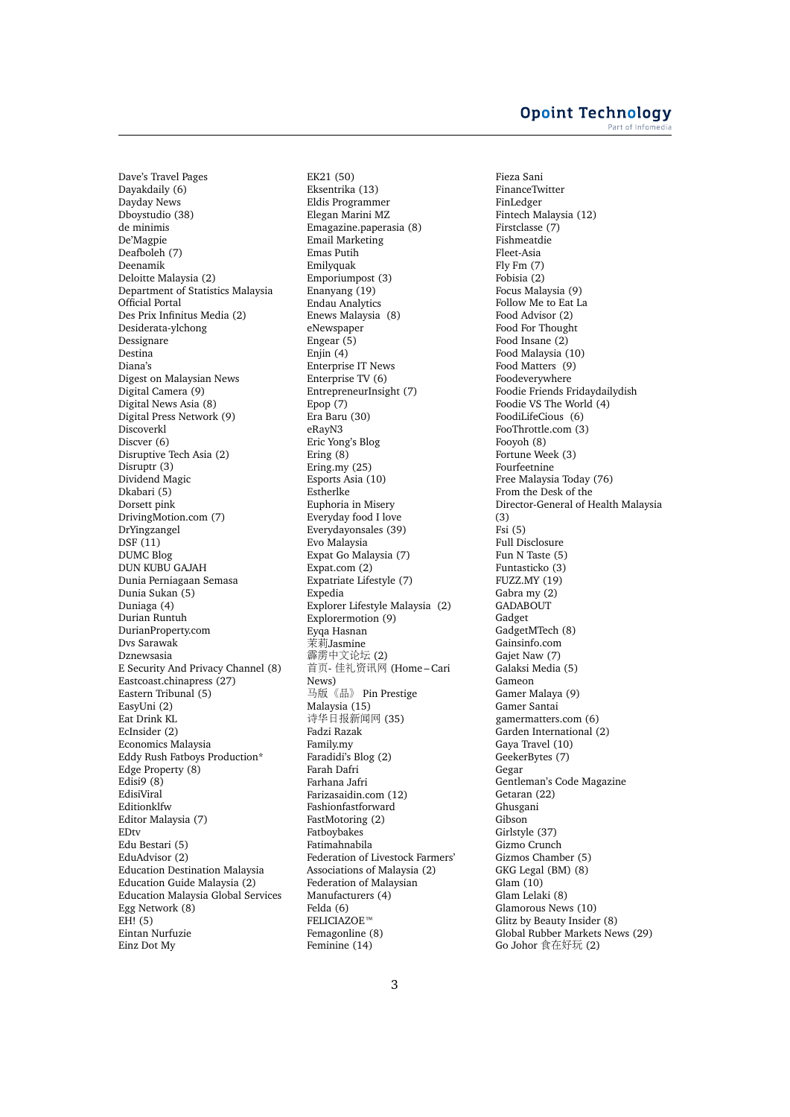Dave's Travel Pages Dayakdaily (6) Dayday News Dboystudio (38) de minimis De'Magpie Deafboleh (7) Deenamik Deloitte Malaysia (2) Department of Statistics Malaysia Official Portal Des Prix Infinitus Media (2) Desiderata-ylchong Dessignare Destina Diana's Digest on Malaysian News Digital Camera (9) Digital News Asia (8) Digital Press Network (9) Discoverkl Discver (6) Disruptive Tech Asia (2) Disruptr (3) Dividend Magic Dkabari (5) Dorsett pink DrivingMotion.com (7) DrYingzangel  $DSF(11)$ DUMC Blog DUN KUBU GAJAH Dunia Perniagaan Semasa Dunia Sukan (5) Duniaga (4) Durian Runtuh DurianProperty.com Dvs Sarawak Dznewsasia E Security And Privacy Channel (8) Eastcoast.chinapress (27) Eastern Tribunal (5) EasyUni (2) Eat Drink KL EcInsider (2) Economics Malaysia Eddy Rush Fatboys Production\* Edge Property (8) Edisi $9(8)$ EdisiViral Editionklfw Editor Malaysia (7) EDtv Edu Bestari (5) EduAdvisor (2) Education Destination Malaysia Education Guide Malaysia (2) Education Malaysia Global Services Egg Network (8)  $EH!$  (5) Eintan Nurfuzie Einz Dot My

EK21 (50) Eksentrika (13) Eldis Programmer Elegan Marini MZ Emagazine.paperasia (8) Email Marketing Emas Putih Emilyquak Emporiumpost (3) Enanyang (19) Endau Analytics Enews Malaysia (8) eNewspaper Engear (5) Enjin (4) Enterprise IT News Enterprise TV (6) EntrepreneurInsight (7) Epop (7) Era Baru (30) eRayN3 Eric Yong's Blog Ering (8) Ering.my (25) Esports Asia (10) Estherlke Euphoria in Misery Everyday food I love Everydayonsales (39) Evo Malaysia Expat Go Malaysia (7) Expat.com (2) Expatriate Lifestyle (7) **Expedia** Explorer Lifestyle Malaysia (2) Explorermotion (9) Eyqa Hasnan 茉莉Jasmine 霹雳中文论坛 (2) <sup>首</sup>页- <sup>佳</sup>礼资讯<sup>网</sup> (Home – Cari News) 马版《品》 Pin Prestige Malaysia (15) <sup>诗</sup>华日报新闻<sup>网</sup> (35) Fadzi Razak Family.my Faradidi's Blog (2) Farah Dafri Farhana Jafri Farizasaidin.com (12) Fashionfastforward FastMotoring (2) Fatboybakes Fatimahnabila Federation of Livestock Farmers' Associations of Malaysia (2) Federation of Malaysian Manufacturers (4) Felda (6) FELICIAZOE™ Femagonline (8) Feminine (14)

Fieza Sani FinanceTwitter FinLedger Fintech Malaysia (12) Firstclasse (7) Fishmeatdie Fleet-Asia Fly Fm (7) Fobisia (2) Focus Malaysia (9) Follow Me to Eat La Food Advisor (2) Food For Thought Food Insane (2) Food Malaysia (10) Food Matters (9) Foodeverywhere Foodie Friends Fridaydailydish Foodie VS The World (4) FoodiLifeCious (6) FooThrottle.com (3) Fooyoh (8) Fortune Week (3) Fourfeetnine Free Malaysia Today (76) From the Desk of the Director-General of Health Malaysia (3)  $Fsi(5)$ Full Disclosure Fun N Taste (5) Funtasticko (3) FUZZ.MY (19) Gabra my (2) **GADABOUT** Gadget GadgetMTech (8) Gainsinfo.com Gajet Naw (7) Galaksi Media (5) Gameon Gamer Malaya (9) Gamer Santai gamermatters.com (6) Garden International (2) Gaya Travel (10) GeekerBytes (7) Gegar Gentleman's Code Magazine Getaran (22) Ghusgani Gibson Girlstyle (37) Gizmo Crunch Gizmos Chamber (5) GKG Legal (BM) (8) Glam (10) Glam Lelaki (8) Glamorous News (10) Glitz by Beauty Insider (8) Global Rubber Markets News (29) Go Johor <sup>食</sup>在好<sup>玩</sup> (2)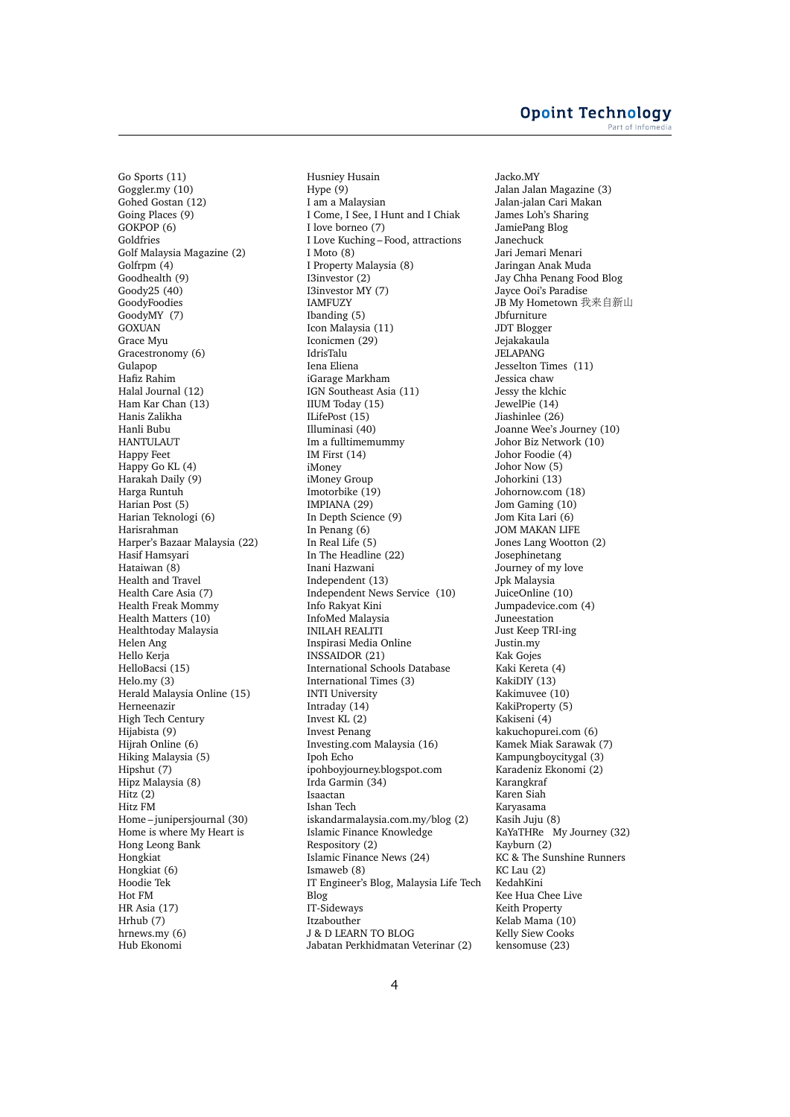Go Sports (11) Goggler.my (10) Gohed Gostan (12) Going Places (9) GOKPOP (6) Goldfries Golf Malaysia Magazine (2) Golfrpm (4) Goodhealth (9) Goody25 (40) GoodyFoodies GoodyMY (7) GOXUAN Grace Myu Gracestronomy (6) Gulapop Hafiz Rahim Halal Journal (12) Ham Kar Chan (13) Hanis Zalikha Hanli Bubu HANTULAUT Happy Feet Happy Go KL (4) Harakah Daily (9) Harga Runtuh Harian Post (5) Harian Teknologi (6) Harisrahman Harper's Bazaar Malaysia (22) Hasif Hamsyari Hataiwan (8) Health and Travel Health Care Asia (7) Health Freak Mommy Health Matters (10) Healthtoday Malaysia Helen Ang Hello Kerja HelloBacsi (15) Helo.my (3) Herald Malaysia Online (15) Herneenazir High Tech Century Hijabista (9) Hijrah Online (6) Hiking Malaysia (5) Hipshut (7) Hipz Malaysia (8) Hitz (2) Hitz FM Home – junipersjournal (30) Home is where My Heart is Hong Leong Bank Hongkiat Hongkiat (6) Hoodie Tek Hot FM HR Asia (17) Hrhub (7) hrnews.my (6) Hub Ekonomi

Husniey Husain Hype (9) I am a Malaysian I Come, I See, I Hunt and I Chiak I love borneo (7) I Love Kuching – Food, attractions I Moto (8) I Property Malaysia (8) I3investor (2) I3investor MY (7) IAMFUZY Ibanding (5) Icon Malaysia (11) Iconicmen (29) IdrisTalu Iena Eliena iGarage Markham IGN Southeast Asia (11) IIUM Today (15) ILifePost (15) Illuminasi (40) Im a fulltimemummy IM First (14) iMoney iMoney Group Imotorbike (19) IMPIANA (29) In Depth Science (9) In Penang (6) In Real Life (5) In The Headline (22) Inani Hazwani Independent (13) Independent News Service (10) Info Rakyat Kini InfoMed Malaysia INILAH REALITI Inspirasi Media Online INSSAIDOR (21) International Schools Database International Times (3) INTI University Intraday (14) Invest KL (2) Invest Penang Investing.com Malaysia (16) Ipoh Echo ipohboyjourney.blogspot.com Irda Garmin (34) Isaactan Ishan Tech iskandarmalaysia.com.my/blog (2) Islamic Finance Knowledge Respository (2) Islamic Finance News (24) Ismaweb (8) IT Engineer's Blog, Malaysia Life Tech Blog IT-Sideways Itzabouther J & D LEARN TO BLOG Jabatan Perkhidmatan Veterinar (2)

Jacko.MY Jalan Jalan Magazine (3) Jalan-jalan Cari Makan James Loh's Sharing JamiePang Blog Janechuck Jari Jemari Menari Jaringan Anak Muda Jay Chha Penang Food Blog Jayce Ooi's Paradise JB My Hometown 我来自新山 Jbfurniture JDT Blogger Jejakakaula JELAPANG Jesselton Times (11) Jessica chaw Jessy the klchic JewelPie (14) Jiashinlee (26) Joanne Wee's Journey (10) Johor Biz Network (10) Johor Foodie (4) Johor Now (5) Johorkini (13) Johornow.com (18) Jom Gaming (10) Jom Kita Lari (6) JOM MAKAN LIFE Jones Lang Wootton (2) Josephinetang Journey of my love Jpk Malaysia JuiceOnline (10) Jumpadevice.com (4) Juneestation Just Keep TRI-ing Justin.my Kak Gojes Kaki Kereta (4) KakiDIY (13) Kakimuvee (10) KakiProperty (5) Kakiseni (4) kakuchopurei.com (6) Kamek Miak Sarawak (7) Kampungboycitygal (3) Karadeniz Ekonomi (2) Karangkraf Karen Siah Karyasama Kasih Juju (8) KaYaTHRe My Journey (32) Kayburn (2) KC & The Sunshine Runners KC Lau (2) KedahKini Kee Hua Chee Live Keith Property Kelab Mama (10) Kelly Siew Cooks kensomuse (23)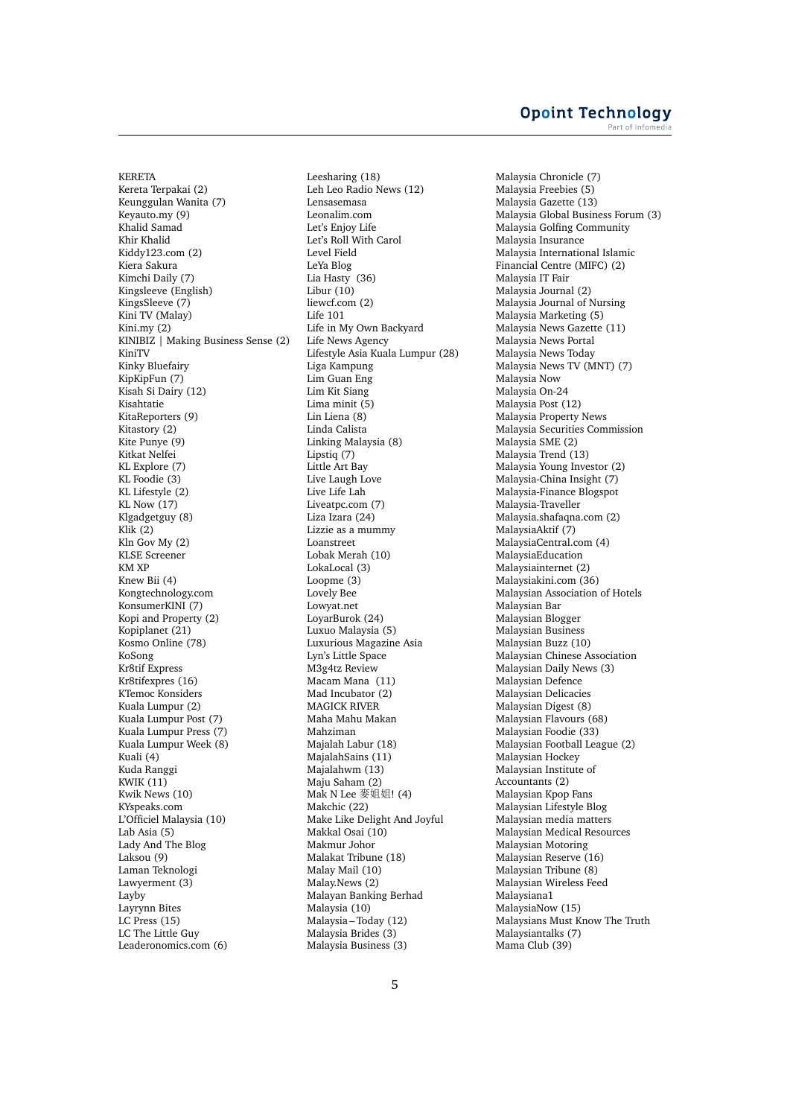KERETA Kereta Terpakai (2) Keunggulan Wanita (7) Keyauto.my (9) Khalid Samad Khir Khalid Kiddy123.com (2) Kiera Sakura Kimchi Daily (7) Kingsleeve (English) KingsSleeve (7) Kini TV (Malay) Kini.my (2) KINIBIZ | Making Business Sense (2) KiniTV Kinky Bluefairy KipKipFun (7) Kisah Si Dairy (12) Kisahtatie KitaReporters (9) Kitastory (2) Kite Punye (9) Kitkat Nelfei KL Explore (7) KL Foodie (3) KL Lifestyle (2) KL Now (17) Klgadgetguy (8) Klik  $(2)$ Kln Gov My (2) KLSE Screener KM XP Knew Bii (4) Kongtechnology.com KonsumerKINI (7) Kopi and Property (2) Kopiplanet (21) Kosmo Online (78) KoSong Kr8tif Express Kr8tifexpres (16) KTemoc Konsiders Kuala Lumpur (2) Kuala Lumpur Post (7) Kuala Lumpur Press (7) Kuala Lumpur Week (8) Kuali (4) Kuda Ranggi KWIK (11) Kwik News (10) KYspeaks.com L'Officiel Malaysia (10) Lab Asia (5) Lady And The Blog Laksou (9) Laman Teknologi Lawyerment (3) Layby Layrynn Bites LC Press (15) LC The Little Guy Leaderonomics.com (6)

Leesharing (18) Leh Leo Radio News (12) Lensasemasa Leonalim.com Let's Enjoy Life Let's Roll With Carol Level Field LeYa Blog Lia Hasty (36) Libur (10) liewcf.com (2) Life 101 Life in My Own Backyard Life News Agency Lifestyle Asia Kuala Lumpur (28) Liga Kampung Lim Guan Eng Lim Kit Siang Lima minit (5) Lin Liena (8) Linda Calista Linking Malaysia (8) Lipstiq (7) Little Art Bay Live Laugh Love Live Life Lah Liveatpc.com (7) Liza Izara (24) Lizzie as a mummy Loanstreet Lobak Merah (10) LokaLocal (3) Loopme (3) Lovely Bee Lowyat.net LoyarBurok (24) Luxuo Malaysia (5) Luxurious Magazine Asia Lyn's Little Space M3g4tz Review Macam Mana (11) Mad Incubator (2) MAGICK RIVER Maha Mahu Makan Mahziman Majalah Labur (18) MajalahSains (11) Majalahwm (13) Maju Saham (2) Mak N Lee 麥姐姐! (4) Makchic (22) Make Like Delight And Joyful Makkal Osai (10) Makmur Johor Malakat Tribune (18) Malay Mail (10) Malay.News (2) Malayan Banking Berhad Malaysia (10) Malaysia – Today (12) Malaysia Brides (3) Malaysia Business (3)

Malaysia Chronicle (7) Malaysia Freebies (5) Malaysia Gazette (13) Malaysia Global Business Forum (3) Malaysia Golfing Community Malaysia Insurance Malaysia International Islamic Financial Centre (MIFC) (2) Malaysia IT Fair Malaysia Journal (2) Malaysia Journal of Nursing Malaysia Marketing (5) Malaysia News Gazette (11) Malaysia News Portal Malaysia News Today Malaysia News TV (MNT) (7) Malaysia Now Malaysia On-24 Malaysia Post (12) Malaysia Property News Malaysia Securities Commission Malaysia SME (2) Malaysia Trend (13) Malaysia Young Investor (2) Malaysia-China Insight (7) Malaysia-Finance Blogspot Malaysia-Traveller Malaysia.shafaqna.com (2) MalaysiaAktif (7) MalaysiaCentral.com (4) MalaysiaEducation Malaysiainternet (2) Malaysiakini.com (36) Malaysian Association of Hotels Malaysian Bar Malaysian Blogger Malaysian Business Malaysian Buzz (10) Malaysian Chinese Association Malaysian Daily News (3) Malaysian Defence Malaysian Delicacies Malaysian Digest (8) Malaysian Flavours (68) Malaysian Foodie (33) Malaysian Football League (2) Malaysian Hockey Malaysian Institute of Accountants (2) Malaysian Kpop Fans Malaysian Lifestyle Blog Malaysian media matters Malaysian Medical Resources Malaysian Motoring Malaysian Reserve (16) Malaysian Tribune (8) Malaysian Wireless Feed Malaysiana1 MalaysiaNow (15) Malaysians Must Know The Truth Malaysiantalks (7) Mama Club (39)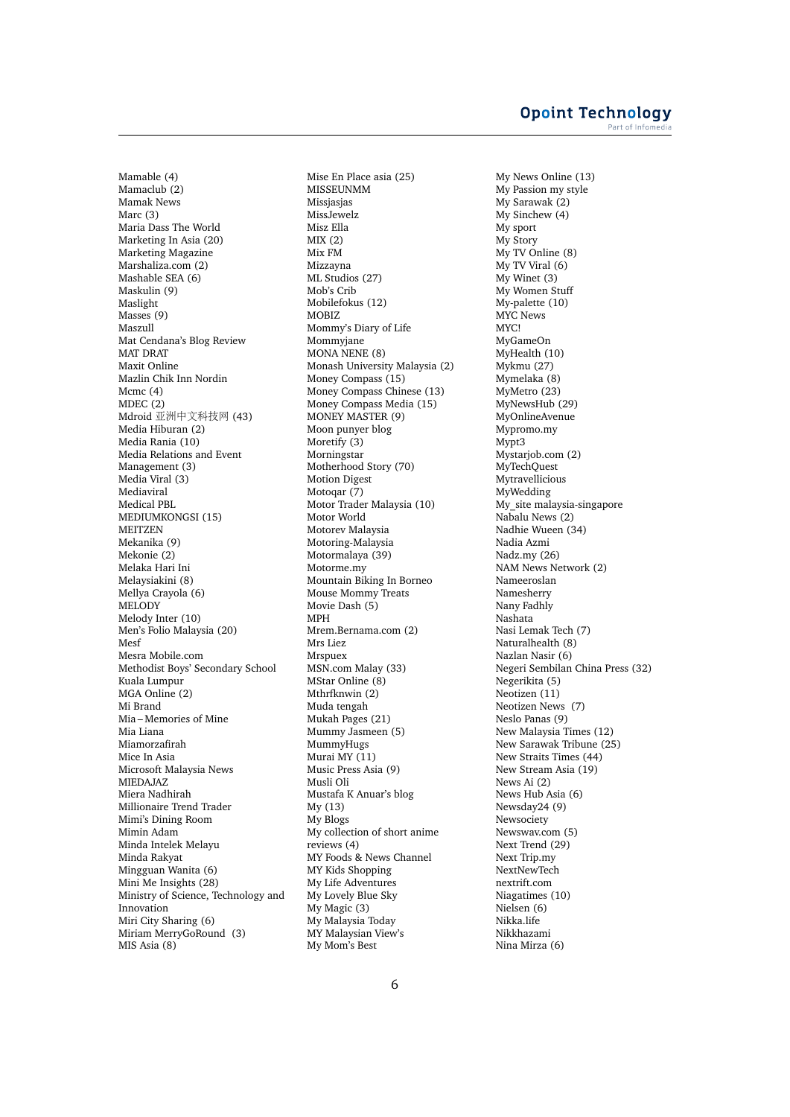Mamable (4) Mamaclub (2) Mamak News Marc (3) Maria Dass The World Marketing In Asia (20) Marketing Magazine Marshaliza.com (2) Mashable SEA (6) Maskulin (9) Maslight Masses (9) Maszull Mat Cendana's Blog Review MAT DRAT Maxit Online Mazlin Chik Inn Nordin Mcmc (4) MDEC (2) Mdroid <sup>亚</sup>洲中文科技<sup>网</sup> (43) Media Hiburan (2) Media Rania (10) Media Relations and Event Management (3) Media Viral (3) Mediaviral Medical PBL MEDIUMKONGSI (15) MEITZEN Mekanika (9) Mekonie (2) Melaka Hari Ini Melaysiakini (8) Mellya Crayola (6) MELODY Melody Inter (10) Men's Folio Malaysia (20) Mesf Mesra Mobile.com Methodist Boys' Secondary School Kuala Lumpur MGA Online (2) Mi Brand Mia – Memories of Mine Mia Liana Miamorzafirah Mice In Asia Microsoft Malaysia News MIEDAJAZ Miera Nadhirah Millionaire Trend Trader Mimi's Dining Room Mimin Adam Minda Intelek Melayu Minda Rakyat Mingguan Wanita (6) Mini Me Insights (28) Ministry of Science, Technology and Innovation Miri City Sharing (6) Miriam MerryGoRound (3) MIS Asia (8)

Mise En Place asia (25) MISSEUNMM Missjasjas MissJewelz Misz Ella MIX (2) Mix FM Mizzayna ML Studios (27) Mob's Crib Mobilefokus (12) MOBIZ Mommy's Diary of Life Mommyjane MONA NENE (8) Monash University Malaysia (2) Money Compass (15) Money Compass Chinese (13) Money Compass Media (15) MONEY MASTER (9) Moon punyer blog Moretify (3) Morningstar Motherhood Story (70) Motion Digest Motogar (7) Motor Trader Malaysia (10) Motor World Motorev Malaysia Motoring-Malaysia Motormalaya (39) Motorme.my Mountain Biking In Borneo Mouse Mommy Treats Movie Dash (5) MPH Mrem.Bernama.com (2) Mrs Liez Mrspuex MSN.com Malay (33) MStar Online (8) Mthrfknwin (2) Muda tengah Mukah Pages (21) Mummy Jasmeen (5) MummyHugs Murai MY (11) Music Press Asia (9) Musli Oli Mustafa K Anuar's blog My (13) My Blogs My collection of short anime reviews (4) MY Foods & News Channel MY Kids Shopping My Life Adventures My Lovely Blue Sky My Magic (3) My Malaysia Today MY Malaysian View's My Mom's Best

My News Online (13) My Passion my style My Sarawak (2) My Sinchew (4) My sport My Story My TV Online (8) My TV Viral  $(6)$ My Winet (3) My Women Stuff My-palette (10) MYC News MYC! MyGameOn MyHealth (10) Mykmu (27) Mymelaka (8) MyMetro (23) MyNewsHub (29) MyOnlineAvenue Mypromo.my Mypt3 Mystarjob.com (2) MyTechQuest Mytravellicious MyWedding My\_site malaysia-singapore Nabalu News (2) Nadhie Wueen (34) Nadia Azmi Nadz.my (26) NAM News Network (2) Nameeroslan Namesherry Nany Fadhly Nashata Nasi Lemak Tech (7) Naturalhealth (8) Nazlan Nasir (6) Negeri Sembilan China Press (32) Negerikita (5) Neotizen (11) Neotizen News (7) Neslo Panas (9) New Malaysia Times (12) New Sarawak Tribune (25) New Straits Times (44) New Stream Asia (19) News Ai (2) News Hub Asia (6) Newsday24 (9) Newsociety Newswav.com (5) Next Trend (29) Next Trip.my NextNewTech nextrift.com Niagatimes (10) Nielsen (6) Nikka.life Nikkhazami Nina Mirza (6)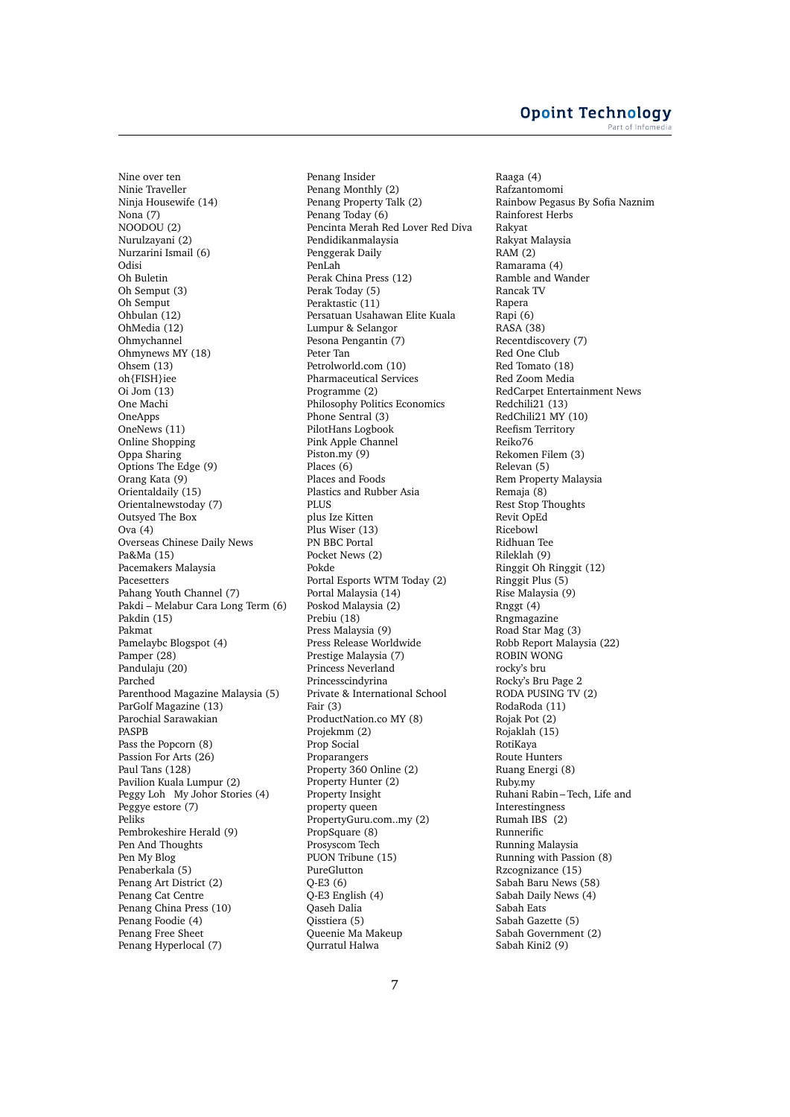Nine over ten Ninie Traveller Ninja Housewife (14) Nona (7) NOODOU (2) Nurulzayani (2) Nurzarini Ismail (6) Odisi Oh Buletin Oh Semput (3) Oh Semput Ohbulan (12) OhMedia (12) Ohmychannel Ohmynews MY (18) Ohsem (13) oh{FISH}iee Oi Jom (13) One Machi **OneApps** OneNews (11) Online Shopping Oppa Sharing Options The Edge (9) Orang Kata (9) Orientaldaily (15) Orientalnewstoday (7) Outsyed The Box  $Ova(4)$ Overseas Chinese Daily News Pa&Ma (15) Pacemakers Malaysia Pacesetters Pahang Youth Channel (7) Pakdi – Melabur Cara Long Term (6) Pakdin (15) Pakmat Pamelaybc Blogspot (4) Pamper (28) Pandulaju (20) Parched Parenthood Magazine Malaysia (5) ParGolf Magazine (13) Parochial Sarawakian PASPB Pass the Popcorn (8) Passion For Arts (26) Paul Tans (128) Pavilion Kuala Lumpur (2) Peggy Loh My Johor Stories (4) Peggye estore (7) Peliks Pembrokeshire Herald (9) Pen And Thoughts Pen My Blog Penaberkala (5) Penang Art District (2) Penang Cat Centre Penang China Press (10) Penang Foodie (4) Penang Free Sheet Penang Hyperlocal (7)

Penang Insider Penang Monthly (2) Penang Property Talk (2) Penang Today (6) Pencinta Merah Red Lover Red Diva Pendidikanmalaysia Penggerak Daily PenLah Perak China Press (12) Perak Today (5) Peraktastic (11) Persatuan Usahawan Elite Kuala Lumpur & Selangor Pesona Pengantin (7) Peter Tan Petrolworld.com (10) Pharmaceutical Services Programme (2) Philosophy Politics Economics Phone Sentral (3) PilotHans Logbook Pink Apple Channel Piston.my (9) Places (6) Places and Foods Plastics and Rubber Asia PLUS plus Ize Kitten Plus Wiser (13) PN BBC Portal Pocket News (2) Pokde Portal Esports WTM Today (2) Portal Malaysia (14) Poskod Malaysia (2) Prebiu (18) Press Malaysia (9) Press Release Worldwide Prestige Malaysia (7) Princess Neverland Princesscindyrina Private & International School Fair (3) ProductNation.co MY (8) Projekmm (2) Prop Social Proparangers Property 360 Online (2) Property Hunter (2) Property Insight property queen PropertyGuru.com..my (2) PropSquare (8) Prosyscom Tech PUON Tribune (15) PureGlutton Q-E3 (6) Q-E3 English (4) Qaseh Dalia Qisstiera (5) Queenie Ma Makeup Qurratul Halwa

Raaga (4) Rafzantomomi Rainbow Pegasus By Sofia Naznim Rainforest Herbs Rakyat Rakyat Malaysia RAM (2) Ramarama (4) Ramble and Wander Rancak TV Rapera Rapi (6) RASA (38) Recentdiscovery (7) Red One Club Red Tomato (18) Red Zoom Media RedCarpet Entertainment News Redchili21 (13) RedChili21 MY (10) Reefism Territory Reiko76 Rekomen Filem (3) Relevan (5) Rem Property Malaysia Remaja (8) Rest Stop Thoughts Revit OpEd Ricebowl Ridhuan Tee Rileklah (9) Ringgit Oh Ringgit (12) Ringgit Plus (5) Rise Malaysia (9) Rnggt (4) Rngmagazine Road Star Mag (3) Robb Report Malaysia (22) ROBIN WONG rocky's bru Rocky's Bru Page 2 RODA PUSING TV (2) RodaRoda (11) Rojak Pot (2) Rojaklah (15) RotiKaya Route Hunters Ruang Energi (8) Ruby.my Ruhani Rabin – Tech, Life and Interestingness Rumah IBS (2) Runnerific Running Malaysia Running with Passion (8) Rzcognizance (15) Sabah Baru News (58) Sabah Daily News (4) Sabah Eats Sabah Gazette (5) Sabah Government (2) Sabah Kini2 (9)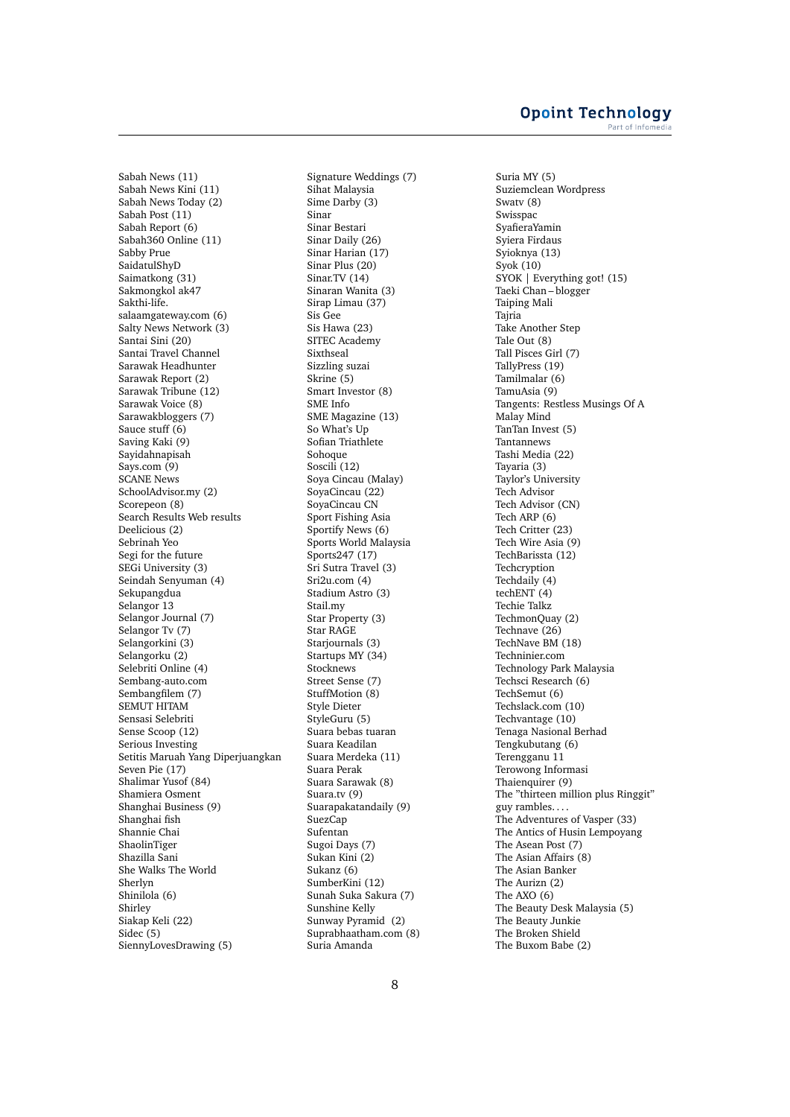Sabah News (11) Sabah News Kini (11) Sabah News Today (2) Sabah Post (11) Sabah Report (6) Sabah360 Online (11) Sabby Prue SaidatulShyD Saimatkong (31) Sakmongkol ak47 Sakthi-life. salaamgateway.com (6) Salty News Network (3) Santai Sini (20) Santai Travel Channel Sarawak Headhunter Sarawak Report (2) Sarawak Tribune (12) Sarawak Voice (8) Sarawakbloggers (7) Sauce stuff (6) Saving Kaki (9) Sayidahnapisah Says.com (9) SCANE News SchoolAdvisor.my (2) Scorepeon (8) Search Results Web results Deelicious (2) Sebrinah Yeo Segi for the future SEGi University (3) Seindah Senyuman (4) Sekupangdua Selangor 13 Selangor Journal (7) Selangor Tv (7) Selangorkini (3) Selangorku (2) Selebriti Online (4) Sembang-auto.com Sembangfilem (7) SEMUT HITAM Sensasi Selebriti Sense Scoop (12) Serious Investing Setitis Maruah Yang Diperjuangkan Seven Pie (17) Shalimar Yusof (84) Shamiera Osment Shanghai Business (9) Shanghai fish Shannie Chai ShaolinTiger Shazilla Sani She Walks The World Sherlyn Shinilola (6) Shirley Siakap Keli (22) Sidec (5) SiennyLovesDrawing (5)

Signature Weddings (7) Sihat Malaysia Sime Darby (3) Sinar Sinar Bestari Sinar Daily (26) Sinar Harian (17) Sinar Plus (20) Sinar.TV (14) Sinaran Wanita (3) Sirap Limau (37) Sis Gee Sis Hawa (23) SITEC Academy Sixthseal Sizzling suzai Skrine (5) Smart Investor (8) SME Info SME Magazine (13) So What's Up Sofian Triathlete Sohoque Soscili (12) Soya Cincau (Malay) SoyaCincau (22) SoyaCincau CN Sport Fishing Asia Sportify News (6) Sports World Malaysia Sports247 (17) Sri Sutra Travel (3) Sri2u.com (4) Stadium Astro (3) Stail.my Star Property (3) Star RAGE Starjournals (3) Startups MY (34) Stocknews Street Sense (7) StuffMotion (8) Style Dieter StyleGuru (5) Suara bebas tuaran Suara Keadilan Suara Merdeka (11) Suara Perak Suara Sarawak (8) Suara.tv (9) Suarapakatandaily (9) SuezCap Sufentan Sugoi Days (7) Sukan Kini (2) Sukanz (6) SumberKini (12) Sunah Suka Sakura (7) Sunshine Kelly Sunway Pyramid (2) Suprabhaatham.com (8) Suria Amanda

Suria MY (5) Suziemclean Wordpress Swatv (8) Swisspac SyafieraYamin Syiera Firdaus Syioknya (13) Syok (10) SYOK | Everything got! (15) Taeki Chan – blogger Taiping Mali Tajria Take Another Step Tale Out (8) Tall Pisces Girl (7) TallyPress (19) Tamilmalar (6) TamuAsia (9) Tangents: Restless Musings Of A Malay Mind TanTan Invest (5) Tantannews Tashi Media (22) Tayaria (3) Taylor's University Tech Advisor Tech Advisor (CN) Tech ARP (6) Tech Critter (23) Tech Wire Asia (9) TechBarissta (12) **Techcryption** Techdaily (4) techENT (4) Techie Talkz TechmonQuay (2) Technave (26) TechNave BM (18) Techninier.com Technology Park Malaysia Techsci Research (6) TechSemut (6) Techslack.com (10) Techvantage (10) Tenaga Nasional Berhad Tengkubutang (6) Terengganu 11 Terowong Informasi Thaienquirer (9) The "thirteen million plus Ringgit" guy rambles. . . . The Adventures of Vasper (33) The Antics of Husin Lempoyang The Asean Post (7) The Asian Affairs (8) The Asian Banker The Aurizn (2) The AXO (6) The Beauty Desk Malaysia (5) The Beauty Junkie The Broken Shield The Buxom Babe (2)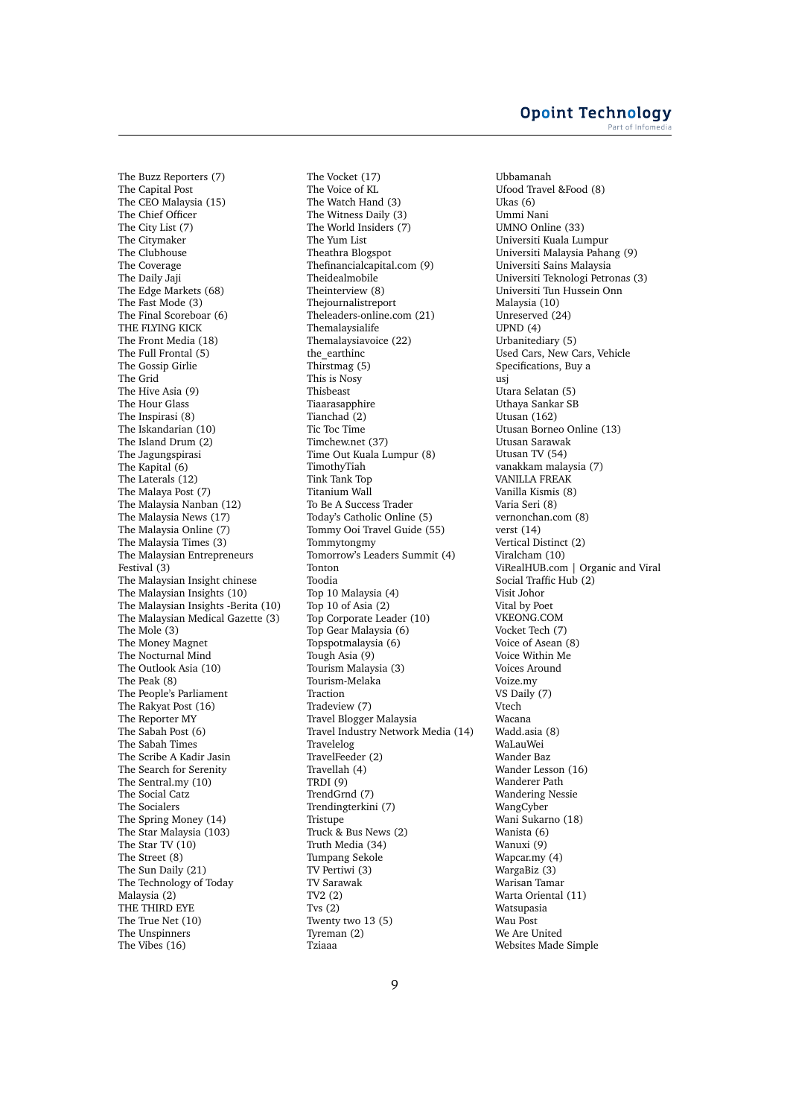The Buzz Reporters (7) The Capital Post The CEO Malaysia (15) The Chief Officer The City List (7) The Citymaker The Clubhouse The Coverage The Daily Jaji The Edge Markets (68) The Fast Mode (3) The Final Scoreboar (6) THE FLYING KICK The Front Media (18) The Full Frontal (5) The Gossip Girlie The Grid The Hive Asia (9) The Hour Glass The Inspirasi (8) The Iskandarian (10) The Island Drum (2) The Jagungspirasi The Kapital (6) The Laterals (12) The Malaya Post (7) The Malaysia Nanban (12) The Malaysia News (17) The Malaysia Online (7) The Malaysia Times (3) The Malaysian Entrepreneurs Festival (3) The Malaysian Insight chinese The Malaysian Insights (10) The Malaysian Insights -Berita (10) The Malaysian Medical Gazette (3) The Mole (3) The Money Magnet The Nocturnal Mind The Outlook Asia (10) The Peak (8) The People's Parliament The Rakyat Post (16) The Reporter MY The Sabah Post (6) The Sabah Times The Scribe A Kadir Jasin The Search for Serenity The Sentral.my (10) The Social Catz The Socialers The Spring Money (14) The Star Malaysia (103) The Star TV (10) The Street (8) The Sun Daily (21) The Technology of Today Malaysia (2) THE THIRD EYE The True Net (10) The Unspinners The Vibes (16)

The Vocket (17) The Voice of KL The Watch Hand (3) The Witness Daily (3) The World Insiders (7) The Yum List Theathra Blogspot Thefinancialcapital.com (9) Theidealmobile Theinterview (8) Thejournalistreport Theleaders-online.com (21) Themalaysialife Themalaysiavoice (22) the\_earthinc Thirstmag (5) This is Nosy Thisbeast Tiaarasapphire Tianchad (2) Tic Toc Time Timchew.net (37) Time Out Kuala Lumpur (8) TimothyTiah Tink Tank Top Titanium Wall To Be A Success Trader Today's Catholic Online (5) Tommy Ooi Travel Guide (55) Tommytongmy Tomorrow's Leaders Summit (4) Tonton Toodia Top 10 Malaysia (4) Top 10 of Asia (2) Top Corporate Leader (10) Top Gear Malaysia (6) Topspotmalaysia (6) Tough Asia (9) Tourism Malaysia (3) Tourism-Melaka Traction Tradeview (7) Travel Blogger Malaysia Travel Industry Network Media (14) Travelelog TravelFeeder (2) Travellah (4) TRDI (9) TrendGrnd (7) Trendingterkini (7) **Tristupe** Truck & Bus News (2) Truth Media (34) Tumpang Sekole TV Pertiwi (3) TV Sarawak TV2 (2) Tvs (2) Twenty two 13 (5) Tyreman (2) Tziaaa

Ubbamanah Ufood Travel &Food (8) Ukas (6) Ummi Nani UMNO Online (33) Universiti Kuala Lumpur Universiti Malaysia Pahang (9) Universiti Sains Malaysia Universiti Teknologi Petronas (3) Universiti Tun Hussein Onn Malaysia (10) Unreserved (24) UPND (4) Urbanitediary (5) Used Cars, New Cars, Vehicle Specifications, Buy a usj Utara Selatan (5) Uthaya Sankar SB Utusan (162) Utusan Borneo Online (13) Utusan Sarawak Utusan TV (54) vanakkam malaysia (7) VANILLA FREAK Vanilla Kismis (8) Varia Seri (8) vernonchan.com (8) verst (14) Vertical Distinct (2) Viralcham (10) ViRealHUB.com | Organic and Viral Social Traffic Hub (2) Visit Johor Vital by Poet VKEONG.COM Vocket Tech (7) Voice of Asean (8) Voice Within Me Voices Around Voize.my VS Daily (7) Vtech Wacana Wadd.asia (8) WaLauWei Wander Baz Wander Lesson (16) Wanderer Path Wandering Nessie WangCyber Wani Sukarno (18) Wanista (6) Wanuxi (9) Wapcar.my (4) WargaBiz (3) Warisan Tamar Warta Oriental (11) Watsupasia Wau Post We Are United Websites Made Simple